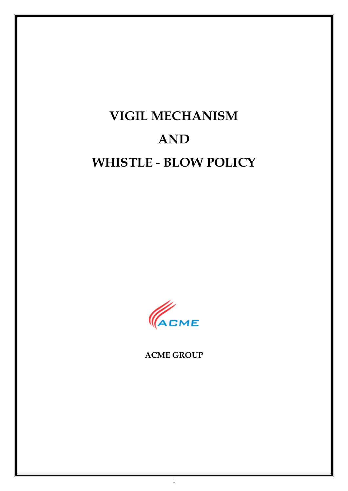# **VIGIL MECHANISM AND WHISTLE - BLOW POLICY**



**ACME GROUP**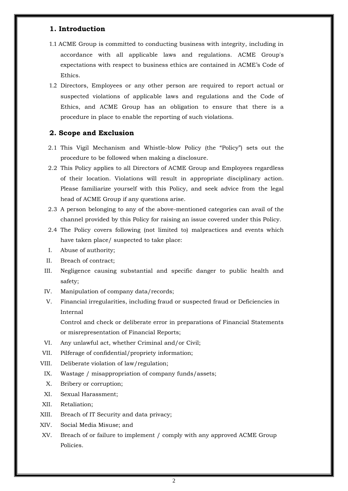## **1. Introduction**

- 1.1 ACME Group is committed to conducting business with integrity, including in accordance with all applicable laws and regulations. ACME Group's expectations with respect to business ethics are contained in ACME's Code of Ethics.
- 1.2 Directors, Employees or any other person are required to report actual or suspected violations of applicable laws and regulations and the Code of Ethics, and ACME Group has an obligation to ensure that there is a procedure in place to enable the reporting of such violations.

## **2. Scope and Exclusion**

- 2.1 This Vigil Mechanism and Whistle-blow Policy (the "Policy") sets out the procedure to be followed when making a disclosure.
- 2.2 This Policy applies to all Directors of ACME Group and Employees regardless of their location. Violations will result in appropriate disciplinary action. Please familiarize yourself with this Policy, and seek advice from the legal head of ACME Group if any questions arise.
- 2.3 A person belonging to any of the above-mentioned categories can avail of the channel provided by this Policy for raising an issue covered under this Policy.
- 2.4 The Policy covers following (not limited to) malpractices and events which have taken place/ suspected to take place:
- I. Abuse of authority;
- II. Breach of contract;
- III. Negligence causing substantial and specific danger to public health and safety;
- IV. Manipulation of company data/records;
- V. Financial irregularities, including fraud or suspected fraud or Deficiencies in Internal

Control and check or deliberate error in preparations of Financial Statements or misrepresentation of Financial Reports;

- VI. Any unlawful act, whether Criminal and/or Civil;
- VII. Pilferage of confidential/propriety information;
- VIII. Deliberate violation of law/regulation;
- IX. Wastage / misappropriation of company funds/assets;
- X. Bribery or corruption;
- XI. Sexual Harassment;
- XII. Retaliation;
- XIII. Breach of IT Security and data privacy;
- XIV. Social Media Misuse; and
- XV. Breach of or failure to implement / comply with any approved ACME Group Policies.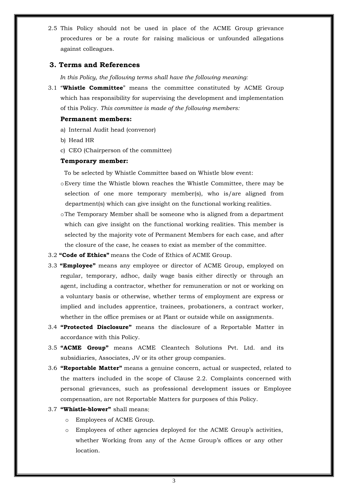2.5 This Policy should not be used in place of the ACME Group grievance procedures or be a route for raising malicious or unfounded allegations against colleagues.

## **3. Terms and References**

*In this Policy, the following terms shall have the following meaning:*

3.1 "**Whistle Committee**" means the committee constituted by ACME Group which has responsibility for supervising the development and implementation of this Policy. *This committee is made of the following members:*

#### **Permanent members:**

- a) Internal Audit head (convenor)
- b) Head HR
- c) CEO (Chairperson of the committee)

#### **Temporary member:**

To be selected by Whistle Committee based on Whistle blow event:

- oEvery time the Whistle blown reaches the Whistle Committee, there may be selection of one more temporary member(s), who is/are aligned from department(s) which can give insight on the functional working realities.
- oThe Temporary Member shall be someone who is aligned from a department which can give insight on the functional working realities. This member is selected by the majority vote of Permanent Members for each case, and after the closure of the case, he ceases to exist as member of the committee.
- 3.2 **"Code of Ethics"** means the Code of Ethics of ACME Group.
- 3.3 **"Employee"** means any employee or director of ACME Group, employed on regular, temporary, adhoc, daily wage basis either directly or through an agent, including a contractor, whether for remuneration or not or working on a voluntary basis or otherwise, whether terms of employment are express or implied and includes apprentice, trainees, probationers, a contract worker, whether in the office premises or at Plant or outside while on assignments.
- 3.4 **"Protected Disclosure"** means the disclosure of a Reportable Matter in accordance with this Policy.
- 3.5 **"ACME Group"** means ACME Cleantech Solutions Pvt. Ltd. and its subsidiaries, Associates, JV or its other group companies.
- 3.6 **"Reportable Matter"** means a genuine concern, actual or suspected, related to the matters included in the scope of Clause 2.2. Complaints concerned with personal grievances, such as professional development issues or Employee compensation, are not Reportable Matters for purposes of this Policy.
- 3.7 **"Whistle-blower"** shall means:
	- o Employees of ACME Group.
	- o Employees of other agencies deployed for the ACME Group's activities, whether Working from any of the Acme Group's offices or any other location.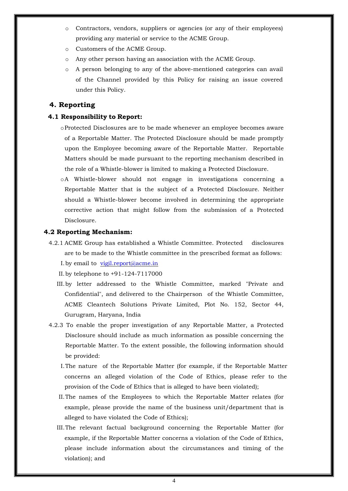- o Contractors, vendors, suppliers or agencies (or any of their employees) providing any material or service to the ACME Group.
- o Customers of the ACME Group.
- o Any other person having an association with the ACME Group.
- o A person belonging to any of the above-mentioned categories can avail of the Channel provided by this Policy for raising an issue covered under this Policy.

## **4. Reporting**

#### **4.1 Responsibility to Report:**

- oProtected Disclosures are to be made whenever an employee becomes aware of a Reportable Matter. The Protected Disclosure should be made promptly upon the Employee becoming aware of the Reportable Matter. Reportable Matters should be made pursuant to the reporting mechanism described in the role of a Whistle-blower is limited to making a Protected Disclosure.
- oA Whistle-blower should not engage in investigations concerning a Reportable Matter that is the subject of a Protected Disclosure. Neither should a Whistle-blower become involved in determining the appropriate corrective action that might follow from the submission of a Protected Disclosure.

#### **4.2 Reporting Mechanism:**

4.2.1 ACME Group has established a Whistle Committee. Protected disclosures are to be made to the Whistle committee in the prescribed format as follows: I. by email to vigil.report@acme.in

II.by telephone to +91-124-7117000

- III.by letter addressed to the Whistle Committee, marked "Private and Confidential", and delivered to the Chairperson of the Whistle Committee, ACME Cleantech Solutions Private Limited, Plot No. 152, Sector 44, Gurugram, Haryana, India
- 4.2.3 To enable the proper investigation of any Reportable Matter, a Protected Disclosure should include as much information as possible concerning the Reportable Matter. To the extent possible, the following information should be provided:
	- I.The nature of the Reportable Matter (for example, if the Reportable Matter concerns an alleged violation of the Code of Ethics, please refer to the provision of the Code of Ethics that is alleged to have been violated);
	- II.The names of the Employees to which the Reportable Matter relates (for example, please provide the name of the business unit/department that is alleged to have violated the Code of Ethics);
	- III.The relevant factual background concerning the Reportable Matter (for example, if the Reportable Matter concerns a violation of the Code of Ethics, please include information about the circumstances and timing of the violation); and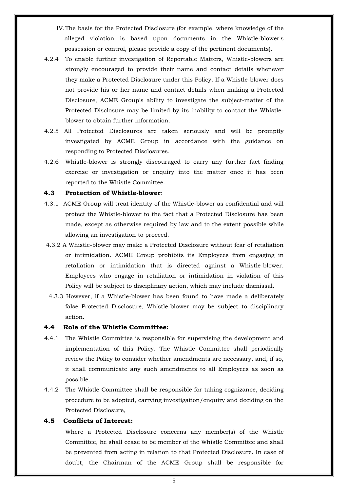- IV.The basis for the Protected Disclosure (for example, where knowledge of the alleged violation is based upon documents in the Whistle-blower's possession or control, please provide a copy of the pertinent documents).
- 4.2.4 To enable further investigation of Reportable Matters, Whistle-blowers are strongly encouraged to provide their name and contact details whenever they make a Protected Disclosure under this Policy. If a Whistle-blower does not provide his or her name and contact details when making a Protected Disclosure, ACME Group's ability to investigate the subject-matter of the Protected Disclosure may be limited by its inability to contact the Whistleblower to obtain further information.
- 4.2.5 All Protected Disclosures are taken seriously and will be promptly investigated by ACME Group in accordance with the guidance on responding to Protected Disclosures.
- 4.2.6 Whistle-blower is strongly discouraged to carry any further fact finding exercise or investigation or enquiry into the matter once it has been reported to the Whistle Committee.

## **4.3 Protection of Whistle-blower**:

- 4.3.1 ACME Group will treat identity of the Whistle-blower as confidential and will protect the Whistle-blower to the fact that a Protected Disclosure has been made, except as otherwise required by law and to the extent possible while allowing an investigation to proceed.
- 4.3.2 A Whistle-blower may make a Protected Disclosure without fear of retaliation or intimidation. ACME Group prohibits its Employees from engaging in retaliation or intimidation that is directed against a Whistle-blower. Employees who engage in retaliation or intimidation in violation of this Policy will be subject to disciplinary action, which may include dismissal.
- 4.3.3 However, if a Whistle-blower has been found to have made a deliberately false Protected Disclosure, Whistle-blower may be subject to disciplinary action.

#### **4.4 Role of the Whistle Committee:**

- 4.4.1 The Whistle Committee is responsible for supervising the development and implementation of this Policy. The Whistle Committee shall periodically review the Policy to consider whether amendments are necessary, and, if so, it shall communicate any such amendments to all Employees as soon as possible.
- 4.4.2 The Whistle Committee shall be responsible for taking cognizance, deciding procedure to be adopted, carrying investigation/enquiry and deciding on the Protected Disclosure,

#### **4.5 Conflicts of Interest:**

Where a Protected Disclosure concerns any member(s) of the Whistle Committee, he shall cease to be member of the Whistle Committee and shall be prevented from acting in relation to that Protected Disclosure. In case of doubt, the Chairman of the ACME Group shall be responsible for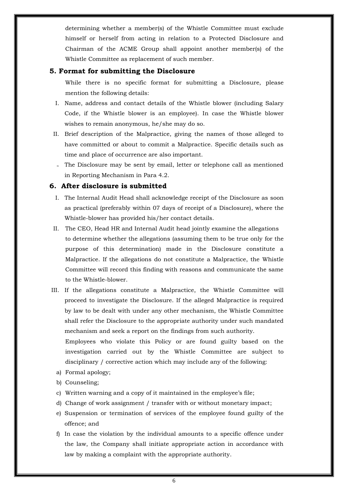determining whether a member(s) of the Whistle Committee must exclude himself or herself from acting in relation to a Protected Disclosure and Chairman of the ACME Group shall appoint another member(s) of the Whistle Committee as replacement of such member.

## **5. Format for submitting the Disclosure**

While there is no specific format for submitting a Disclosure, please mention the following details:

- I. Name, address and contact details of the Whistle blower (including Salary Code, if the Whistle blower is an employee). In case the Whistle blower wishes to remain anonymous, he/she may do so.
- II. Brief description of the Malpractice, giving the names of those alleged to have committed or about to commit a Malpractice. Specific details such as time and place of occurrence are also important.
- III. The Disclosure may be sent by email, letter or telephone call as mentioned in Reporting Mechanism in Para 4.2.

## **6. After disclosure is submitted**

- I. The Internal Audit Head shall acknowledge receipt of the Disclosure as soon as practical (preferably within 07 days of receipt of a Disclosure), where the Whistle-blower has provided his/her contact details.
- II. The CEO, Head HR and Internal Audit head jointly examine the allegations to determine whether the allegations (assuming them to be true only for the purpose of this determination) made in the Disclosure constitute a Malpractice. If the allegations do not constitute a Malpractice, the Whistle Committee will record this finding with reasons and communicate the same to the Whistle-blower.
- III. If the allegations constitute a Malpractice, the Whistle Committee will proceed to investigate the Disclosure. If the alleged Malpractice is required by law to be dealt with under any other mechanism, the Whistle Committee shall refer the Disclosure to the appropriate authority under such mandated mechanism and seek a report on the findings from such authority. Employees who violate this Policy or are found guilty based on the

investigation carried out by the Whistle Committee are subject to disciplinary / corrective action which may include any of the following:

- a) Formal apology;
- b) Counseling;
- c) Written warning and a copy of it maintained in the employee's file;
- d) Change of work assignment / transfer with or without monetary impact;
- e) Suspension or termination of services of the employee found guilty of the offence; and
- f) In case the violation by the individual amounts to a specific offence under the law, the Company shall initiate appropriate action in accordance with law by making a complaint with the appropriate authority.